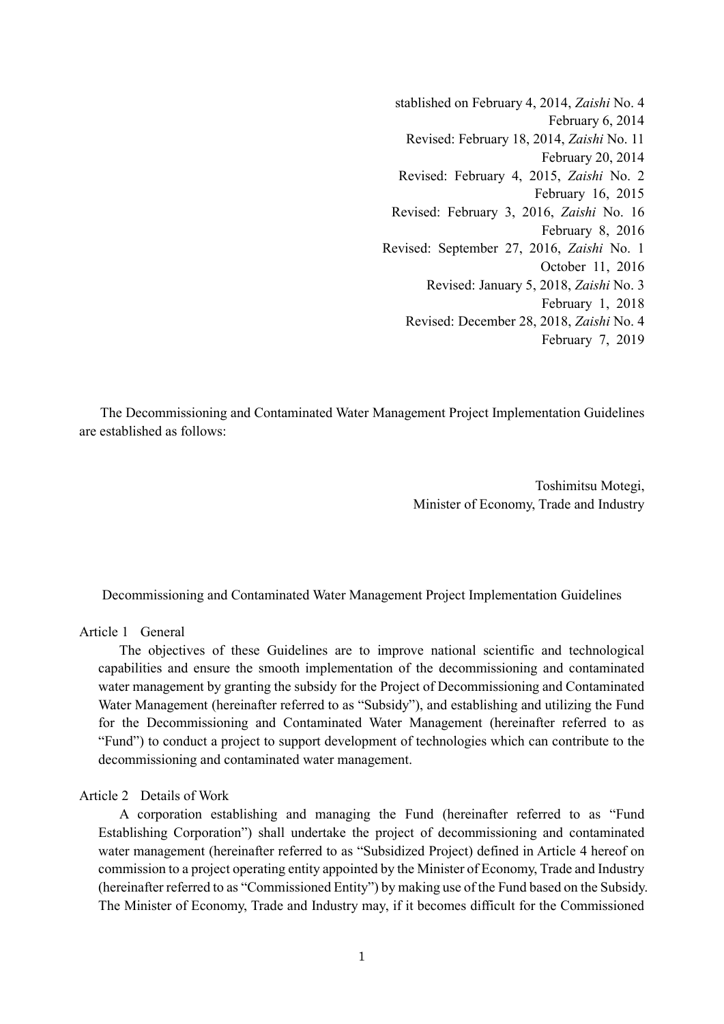stablished on February 4, 2014, *Zaishi* No. 4 February 6, 2014 Revised: February 18, 2014, *Zaishi* No. 11 February 20, 2014 Revised: February 4, 2015, *Zaishi* No. 2 February 16, 2015 Revised: February 3, 2016, *Zaishi* No. 16 February 8, 2016 Revised: September 27, 2016, *Zaishi* No. 1 October 11, 2016 Revised: January 5, 2018, *Zaishi* No. 3 February 1, 2018 Revised: December 28, 2018, *Zaishi* No. 4 February 7, 2019

The Decommissioning and Contaminated Water Management Project Implementation Guidelines are established as follows:

> Toshimitsu Motegi, Minister of Economy, Trade and Industry

Decommissioning and Contaminated Water Management Project Implementation Guidelines

Article 1 General

The objectives of these Guidelines are to improve national scientific and technological capabilities and ensure the smooth implementation of the decommissioning and contaminated water management by granting the subsidy for the Project of Decommissioning and Contaminated Water Management (hereinafter referred to as "Subsidy"), and establishing and utilizing the Fund for the Decommissioning and Contaminated Water Management (hereinafter referred to as "Fund") to conduct a project to support development of technologies which can contribute to the decommissioning and contaminated water management.

Article 2 Details of Work

A corporation establishing and managing the Fund (hereinafter referred to as "Fund Establishing Corporation") shall undertake the project of decommissioning and contaminated water management (hereinafter referred to as "Subsidized Project) defined in Article 4 hereof on commission to a project operating entity appointed by the Minister of Economy, Trade and Industry (hereinafter referred to as "Commissioned Entity") by making use of the Fund based on the Subsidy. The Minister of Economy, Trade and Industry may, if it becomes difficult for the Commissioned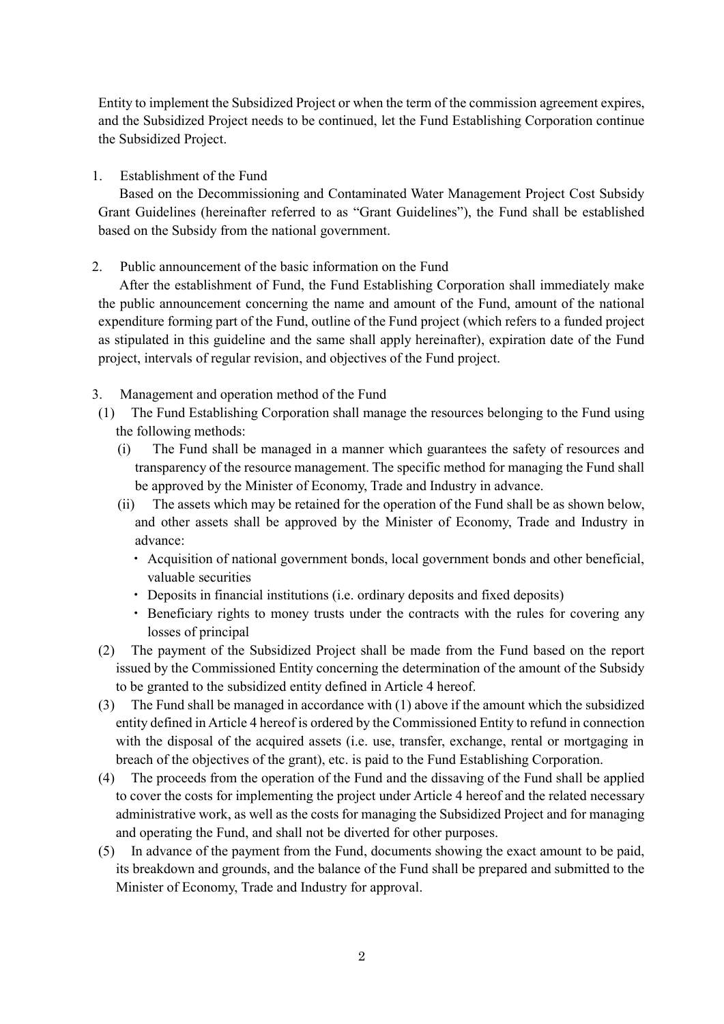Entity to implement the Subsidized Project or when the term of the commission agreement expires, and the Subsidized Project needs to be continued, let the Fund Establishing Corporation continue the Subsidized Project.

1. Establishment of the Fund

Based on the Decommissioning and Contaminated Water Management Project Cost Subsidy Grant Guidelines (hereinafter referred to as "Grant Guidelines"), the Fund shall be established based on the Subsidy from the national government.

## 2. Public announcement of the basic information on the Fund

After the establishment of Fund, the Fund Establishing Corporation shall immediately make the public announcement concerning the name and amount of the Fund, amount of the national expenditure forming part of the Fund, outline of the Fund project (which refers to a funded project as stipulated in this guideline and the same shall apply hereinafter), expiration date of the Fund project, intervals of regular revision, and objectives of the Fund project.

## 3. Management and operation method of the Fund

- (1) The Fund Establishing Corporation shall manage the resources belonging to the Fund using the following methods:
	- (i) The Fund shall be managed in a manner which guarantees the safety of resources and transparency of the resource management. The specific method for managing the Fund shall be approved by the Minister of Economy, Trade and Industry in advance.
	- (ii) The assets which may be retained for the operation of the Fund shall be as shown below, and other assets shall be approved by the Minister of Economy, Trade and Industry in advance:
		- Acquisition of national government bonds, local government bonds and other beneficial, valuable securities
		- Deposits in financial institutions (i.e. ordinary deposits and fixed deposits)
		- **Beneficiary rights to money trusts under the contracts with the rules for covering any** losses of principal
- (2) The payment of the Subsidized Project shall be made from the Fund based on the report issued by the Commissioned Entity concerning the determination of the amount of the Subsidy to be granted to the subsidized entity defined in Article 4 hereof.
- (3) The Fund shall be managed in accordance with (1) above if the amount which the subsidized entity defined in Article 4 hereof is ordered by the Commissioned Entity to refund in connection with the disposal of the acquired assets (i.e. use, transfer, exchange, rental or mortgaging in breach of the objectives of the grant), etc. is paid to the Fund Establishing Corporation.
- (4) The proceeds from the operation of the Fund and the dissaving of the Fund shall be applied to cover the costs for implementing the project under Article 4 hereof and the related necessary administrative work, as well as the costs for managing the Subsidized Project and for managing and operating the Fund, and shall not be diverted for other purposes.
- (5) In advance of the payment from the Fund, documents showing the exact amount to be paid, its breakdown and grounds, and the balance of the Fund shall be prepared and submitted to the Minister of Economy, Trade and Industry for approval.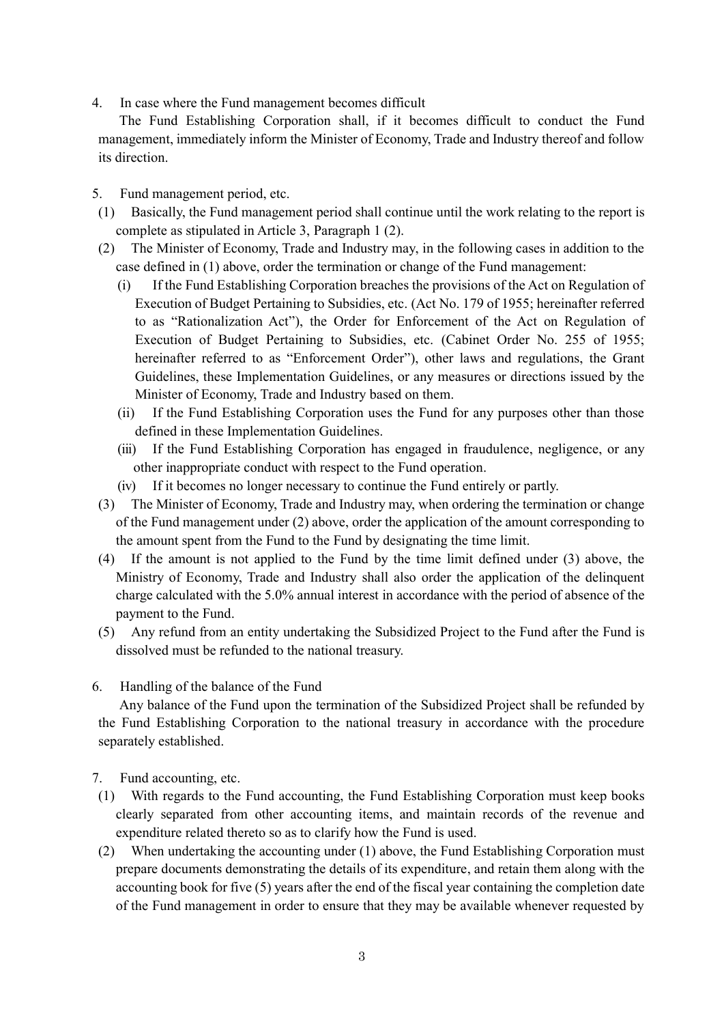4. In case where the Fund management becomes difficult

The Fund Establishing Corporation shall, if it becomes difficult to conduct the Fund management, immediately inform the Minister of Economy, Trade and Industry thereof and follow its direction.

- 5. Fund management period, etc.
- (1) Basically, the Fund management period shall continue until the work relating to the report is complete as stipulated in Article 3, Paragraph 1 (2).
- (2) The Minister of Economy, Trade and Industry may, in the following cases in addition to the case defined in (1) above, order the termination or change of the Fund management:
	- (i) If the Fund Establishing Corporation breaches the provisions of the Act on Regulation of Execution of Budget Pertaining to Subsidies, etc. (Act No. 179 of 1955; hereinafter referred to as "Rationalization Act"), the Order for Enforcement of the Act on Regulation of Execution of Budget Pertaining to Subsidies, etc. (Cabinet Order No. 255 of 1955; hereinafter referred to as "Enforcement Order"), other laws and regulations, the Grant Guidelines, these Implementation Guidelines, or any measures or directions issued by the Minister of Economy, Trade and Industry based on them.
	- (ii) If the Fund Establishing Corporation uses the Fund for any purposes other than those defined in these Implementation Guidelines.
	- (iii) If the Fund Establishing Corporation has engaged in fraudulence, negligence, or any other inappropriate conduct with respect to the Fund operation.
	- (iv) If it becomes no longer necessary to continue the Fund entirely or partly.
- (3) The Minister of Economy, Trade and Industry may, when ordering the termination or change of the Fund management under (2) above, order the application of the amount corresponding to the amount spent from the Fund to the Fund by designating the time limit.
- (4) If the amount is not applied to the Fund by the time limit defined under (3) above, the Ministry of Economy, Trade and Industry shall also order the application of the delinquent charge calculated with the 5.0% annual interest in accordance with the period of absence of the payment to the Fund.
- (5) Any refund from an entity undertaking the Subsidized Project to the Fund after the Fund is dissolved must be refunded to the national treasury.
- 6. Handling of the balance of the Fund

Any balance of the Fund upon the termination of the Subsidized Project shall be refunded by the Fund Establishing Corporation to the national treasury in accordance with the procedure separately established.

- 7. Fund accounting, etc.
- (1) With regards to the Fund accounting, the Fund Establishing Corporation must keep books clearly separated from other accounting items, and maintain records of the revenue and expenditure related thereto so as to clarify how the Fund is used.
- (2) When undertaking the accounting under (1) above, the Fund Establishing Corporation must prepare documents demonstrating the details of its expenditure, and retain them along with the accounting book for five (5) years after the end of the fiscal year containing the completion date of the Fund management in order to ensure that they may be available whenever requested by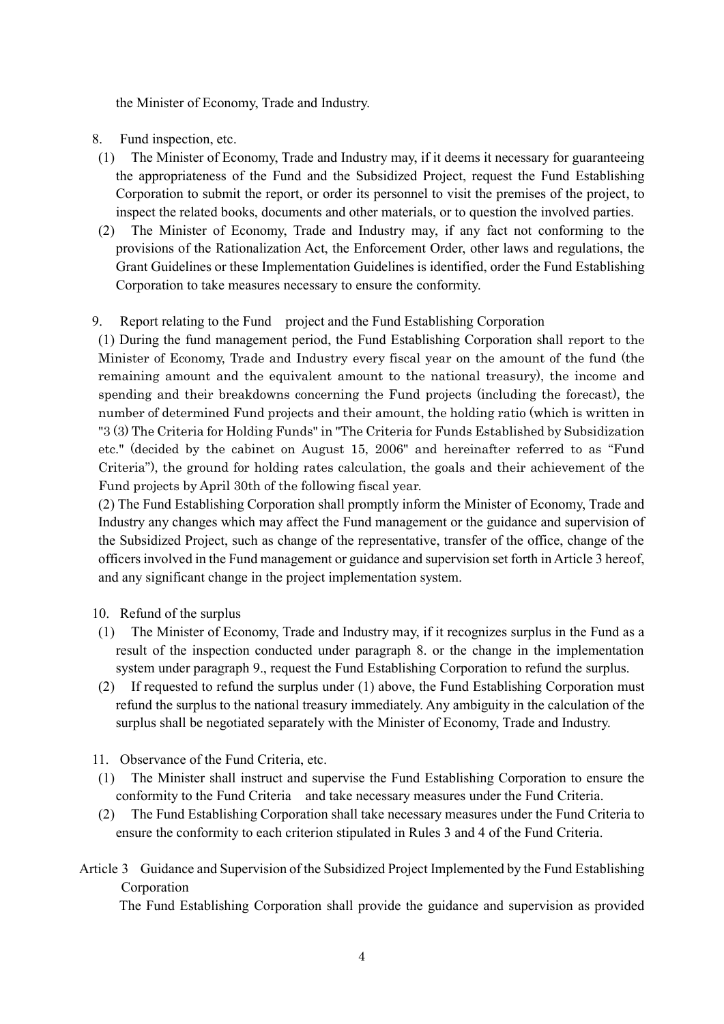the Minister of Economy, Trade and Industry.

- 8. Fund inspection, etc.
- (1) The Minister of Economy, Trade and Industry may, if it deems it necessary for guaranteeing the appropriateness of the Fund and the Subsidized Project, request the Fund Establishing Corporation to submit the report, or order its personnel to visit the premises of the project, to inspect the related books, documents and other materials, or to question the involved parties.
- (2) The Minister of Economy, Trade and Industry may, if any fact not conforming to the provisions of the Rationalization Act, the Enforcement Order, other laws and regulations, the Grant Guidelines or these Implementation Guidelines is identified, order the Fund Establishing Corporation to take measures necessary to ensure the conformity.

### 9. Report relating to the Fund project and the Fund Establishing Corporation

(1) During the fund management period, the Fund Establishing Corporation shall report to the Minister of Economy, Trade and Industry every fiscal year on the amount of the fund (the remaining amount and the equivalent amount to the national treasury), the income and spending and their breakdowns concerning the Fund projects (including the forecast), the number of determined Fund projects and their amount, the holding ratio (which is written in "3 (3) The Criteria for Holding Funds" in "The Criteria for Funds Established by Subsidization etc." (decided by the cabinet on August 15, 2006" and hereinafter referred to as "Fund Criteria"), the ground for holding rates calculation, the goals and their achievement of the Fund projects by April 30th of the following fiscal year.

(2) The Fund Establishing Corporation shall promptly inform the Minister of Economy, Trade and Industry any changes which may affect the Fund management or the guidance and supervision of the Subsidized Project, such as change of the representative, transfer of the office, change of the officers involved in the Fund management or guidance and supervision set forth in Article 3 hereof, and any significant change in the project implementation system.

### 10. Refund of the surplus

- (1) The Minister of Economy, Trade and Industry may, if it recognizes surplus in the Fund as a result of the inspection conducted under paragraph 8. or the change in the implementation system under paragraph 9., request the Fund Establishing Corporation to refund the surplus.
- (2) If requested to refund the surplus under (1) above, the Fund Establishing Corporation must refund the surplus to the national treasury immediately. Any ambiguity in the calculation of the surplus shall be negotiated separately with the Minister of Economy, Trade and Industry.
- 11. Observance of the Fund Criteria, etc.
- (1) The Minister shall instruct and supervise the Fund Establishing Corporation to ensure the conformity to the Fund Criteria and take necessary measures under the Fund Criteria.
- (2) The Fund Establishing Corporation shall take necessary measures under the Fund Criteria to ensure the conformity to each criterion stipulated in Rules 3 and 4 of the Fund Criteria.

# Article 3 Guidance and Supervision of the Subsidized Project Implemented by the Fund Establishing Corporation

The Fund Establishing Corporation shall provide the guidance and supervision as provided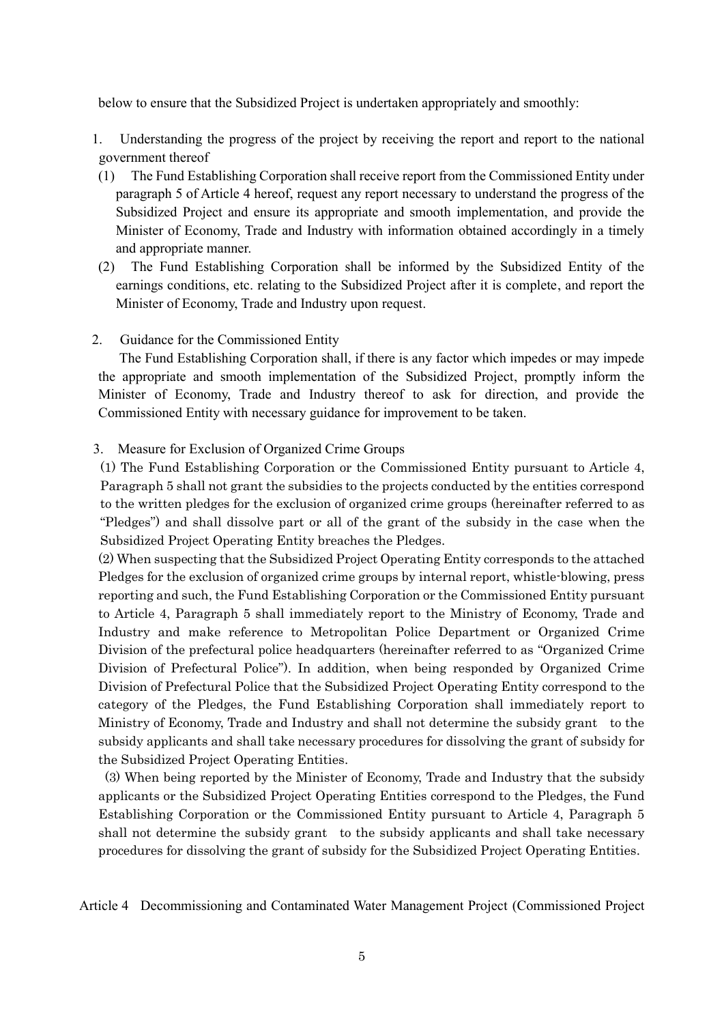below to ensure that the Subsidized Project is undertaken appropriately and smoothly:

- 1. Understanding the progress of the project by receiving the report and report to the national government thereof
- (1) The Fund Establishing Corporation shall receive report from the Commissioned Entity under paragraph 5 of Article 4 hereof, request any report necessary to understand the progress of the Subsidized Project and ensure its appropriate and smooth implementation, and provide the Minister of Economy, Trade and Industry with information obtained accordingly in a timely and appropriate manner.
- (2) The Fund Establishing Corporation shall be informed by the Subsidized Entity of the earnings conditions, etc. relating to the Subsidized Project after it is complete, and report the Minister of Economy, Trade and Industry upon request.
- 2. Guidance for the Commissioned Entity

The Fund Establishing Corporation shall, if there is any factor which impedes or may impede the appropriate and smooth implementation of the Subsidized Project, promptly inform the Minister of Economy, Trade and Industry thereof to ask for direction, and provide the Commissioned Entity with necessary guidance for improvement to be taken.

3. Measure for Exclusion of Organized Crime Groups

 (1) The Fund Establishing Corporation or the Commissioned Entity pursuant to Article 4, Paragraph 5 shall not grant the subsidies to the projects conducted by the entities correspond to the written pledges for the exclusion of organized crime groups (hereinafter referred to as "Pledges") and shall dissolve part or all of the grant of the subsidy in the case when the Subsidized Project Operating Entity breaches the Pledges.

(2) When suspecting that the Subsidized Project Operating Entity corresponds to the attached Pledges for the exclusion of organized crime groups by internal report, whistle-blowing, press reporting and such, the Fund Establishing Corporation or the Commissioned Entity pursuant to Article 4, Paragraph 5 shall immediately report to the Ministry of Economy, Trade and Industry and make reference to Metropolitan Police Department or Organized Crime Division of the prefectural police headquarters (hereinafter referred to as "Organized Crime Division of Prefectural Police"). In addition, when being responded by Organized Crime Division of Prefectural Police that the Subsidized Project Operating Entity correspond to the category of the Pledges, the Fund Establishing Corporation shall immediately report to Ministry of Economy, Trade and Industry and shall not determine the subsidy grant to the subsidy applicants and shall take necessary procedures for dissolving the grant of subsidy for the Subsidized Project Operating Entities.

(3) When being reported by the Minister of Economy, Trade and Industry that the subsidy applicants or the Subsidized Project Operating Entities correspond to the Pledges, the Fund Establishing Corporation or the Commissioned Entity pursuant to Article 4, Paragraph 5 shall not determine the subsidy grant to the subsidy applicants and shall take necessary procedures for dissolving the grant of subsidy for the Subsidized Project Operating Entities.

Article 4 Decommissioning and Contaminated Water Management Project (Commissioned Project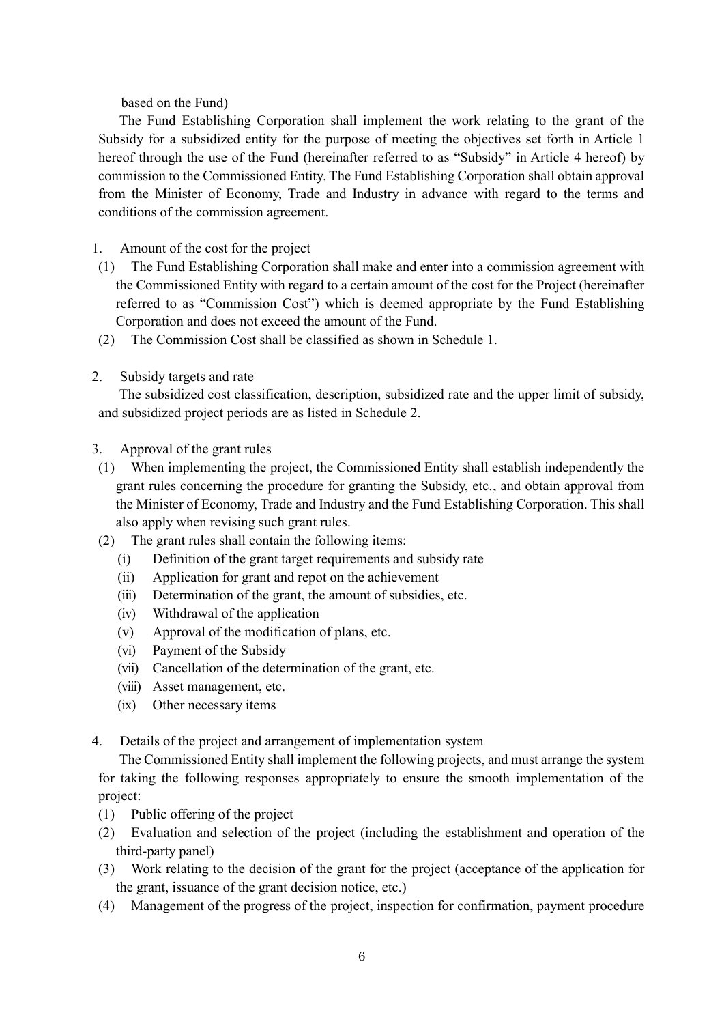based on the Fund)

The Fund Establishing Corporation shall implement the work relating to the grant of the Subsidy for a subsidized entity for the purpose of meeting the objectives set forth in Article 1 hereof through the use of the Fund (hereinafter referred to as "Subsidy" in Article 4 hereof) by commission to the Commissioned Entity. The Fund Establishing Corporation shall obtain approval from the Minister of Economy, Trade and Industry in advance with regard to the terms and conditions of the commission agreement.

- 1. Amount of the cost for the project
- (1) The Fund Establishing Corporation shall make and enter into a commission agreement with the Commissioned Entity with regard to a certain amount of the cost for the Project (hereinafter referred to as "Commission Cost") which is deemed appropriate by the Fund Establishing Corporation and does not exceed the amount of the Fund.
- (2) The Commission Cost shall be classified as shown in Schedule 1.
- 2. Subsidy targets and rate

The subsidized cost classification, description, subsidized rate and the upper limit of subsidy, and subsidized project periods are as listed in Schedule 2.

- 3. Approval of the grant rules
- (1) When implementing the project, the Commissioned Entity shall establish independently the grant rules concerning the procedure for granting the Subsidy, etc., and obtain approval from the Minister of Economy, Trade and Industry and the Fund Establishing Corporation. This shall also apply when revising such grant rules.
- (2) The grant rules shall contain the following items:
	- (i) Definition of the grant target requirements and subsidy rate
	- (ii) Application for grant and repot on the achievement
	- (iii) Determination of the grant, the amount of subsidies, etc.
	- (iv) Withdrawal of the application
	- (v) Approval of the modification of plans, etc.
	- (vi) Payment of the Subsidy
	- (vii) Cancellation of the determination of the grant, etc.
	- (viii) Asset management, etc.
	- (ix) Other necessary items
- 4. Details of the project and arrangement of implementation system

The Commissioned Entity shall implement the following projects, and must arrange the system for taking the following responses appropriately to ensure the smooth implementation of the project:

- (1) Public offering of the project
- (2) Evaluation and selection of the project (including the establishment and operation of the third-party panel)
- (3) Work relating to the decision of the grant for the project (acceptance of the application for the grant, issuance of the grant decision notice, etc.)
- (4) Management of the progress of the project, inspection for confirmation, payment procedure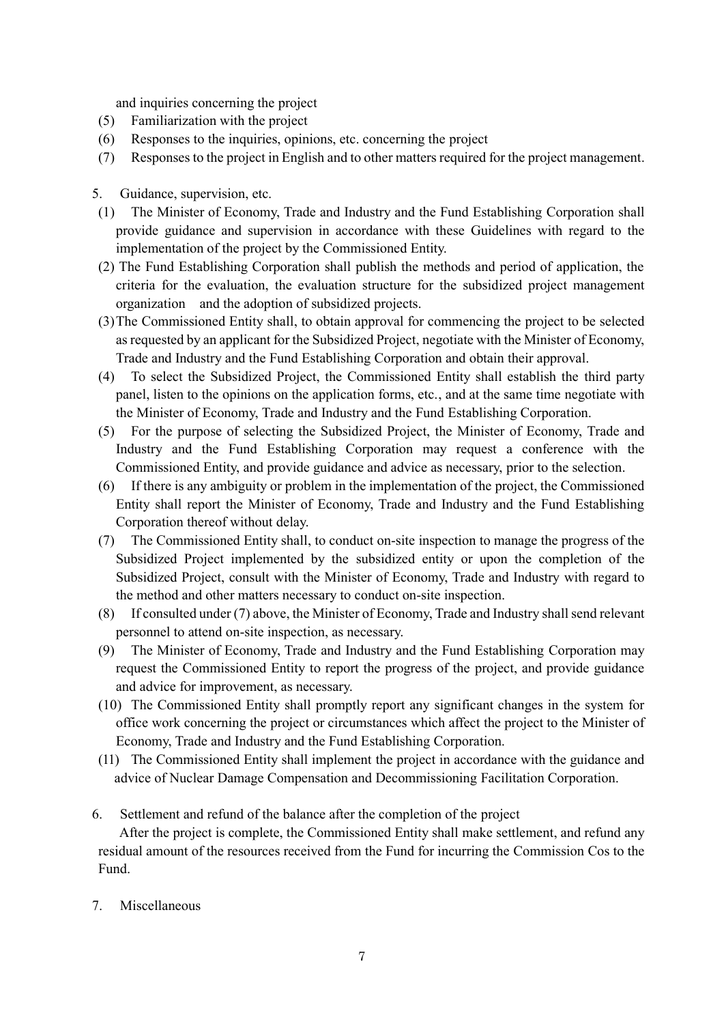and inquiries concerning the project

- (5) Familiarization with the project
- (6) Responses to the inquiries, opinions, etc. concerning the project
- (7) Responses to the project in English and to other matters required for the project management.
- 5. Guidance, supervision, etc.
- (1) The Minister of Economy, Trade and Industry and the Fund Establishing Corporation shall provide guidance and supervision in accordance with these Guidelines with regard to the implementation of the project by the Commissioned Entity.
- (2) The Fund Establishing Corporation shall publish the methods and period of application, the criteria for the evaluation, the evaluation structure for the subsidized project management organization and the adoption of subsidized projects.
- (3)The Commissioned Entity shall, to obtain approval for commencing the project to be selected as requested by an applicant for the Subsidized Project, negotiate with the Minister of Economy, Trade and Industry and the Fund Establishing Corporation and obtain their approval.
- (4) To select the Subsidized Project, the Commissioned Entity shall establish the third party panel, listen to the opinions on the application forms, etc., and at the same time negotiate with the Minister of Economy, Trade and Industry and the Fund Establishing Corporation.
- (5) For the purpose of selecting the Subsidized Project, the Minister of Economy, Trade and Industry and the Fund Establishing Corporation may request a conference with the Commissioned Entity, and provide guidance and advice as necessary, prior to the selection.
- (6) If there is any ambiguity or problem in the implementation of the project, the Commissioned Entity shall report the Minister of Economy, Trade and Industry and the Fund Establishing Corporation thereof without delay.
- (7) The Commissioned Entity shall, to conduct on-site inspection to manage the progress of the Subsidized Project implemented by the subsidized entity or upon the completion of the Subsidized Project, consult with the Minister of Economy, Trade and Industry with regard to the method and other matters necessary to conduct on-site inspection.
- (8) If consulted under (7) above, the Minister of Economy, Trade and Industry shall send relevant personnel to attend on-site inspection, as necessary.
- (9) The Minister of Economy, Trade and Industry and the Fund Establishing Corporation may request the Commissioned Entity to report the progress of the project, and provide guidance and advice for improvement, as necessary.
- (10) The Commissioned Entity shall promptly report any significant changes in the system for office work concerning the project or circumstances which affect the project to the Minister of Economy, Trade and Industry and the Fund Establishing Corporation.
- (11) The Commissioned Entity shall implement the project in accordance with the guidance and advice of Nuclear Damage Compensation and Decommissioning Facilitation Corporation.
- 6. Settlement and refund of the balance after the completion of the project

After the project is complete, the Commissioned Entity shall make settlement, and refund any residual amount of the resources received from the Fund for incurring the Commission Cos to the Fund.

7. Miscellaneous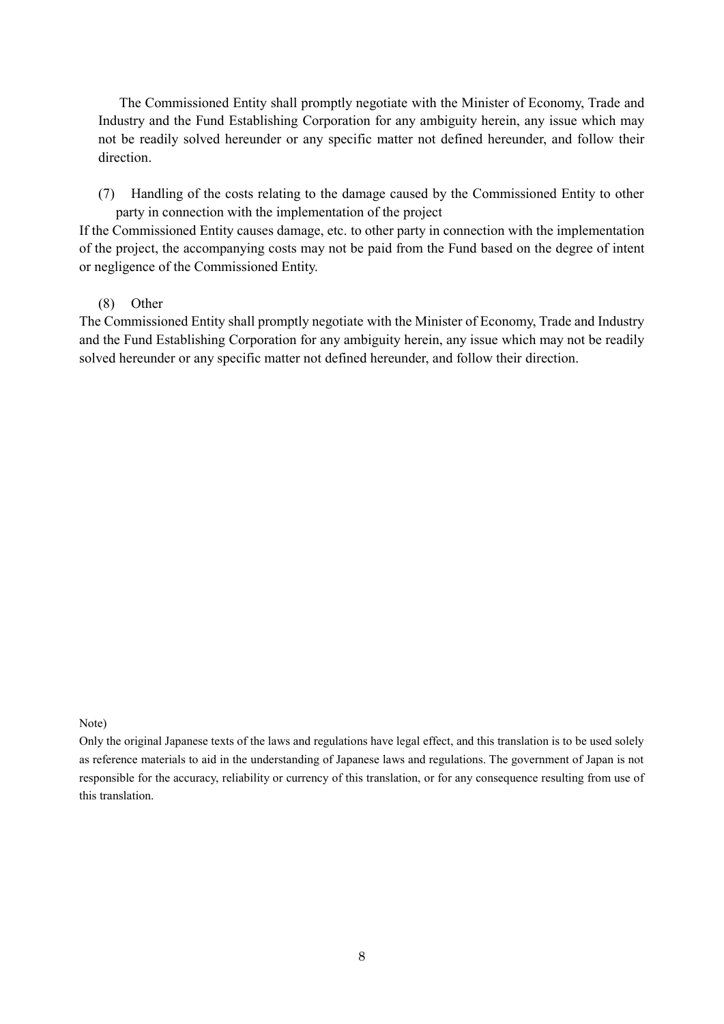The Commissioned Entity shall promptly negotiate with the Minister of Economy, Trade and Industry and the Fund Establishing Corporation for any ambiguity herein, any issue which may not be readily solved hereunder or any specific matter not defined hereunder, and follow their direction.

(7) Handling of the costs relating to the damage caused by the Commissioned Entity to other party in connection with the implementation of the project

If the Commissioned Entity causes damage, etc. to other party in connection with the implementation of the project, the accompanying costs may not be paid from the Fund based on the degree of intent or negligence of the Commissioned Entity.

#### (8) Other

The Commissioned Entity shall promptly negotiate with the Minister of Economy, Trade and Industry and the Fund Establishing Corporation for any ambiguity herein, any issue which may not be readily solved hereunder or any specific matter not defined hereunder, and follow their direction.

#### Note)

Only the original Japanese texts of the laws and regulations have legal effect, and this translation is to be used solely as reference materials to aid in the understanding of Japanese laws and regulations. The government of Japan is not responsible for the accuracy, reliability or currency of this translation, or for any consequence resulting from use of this translation.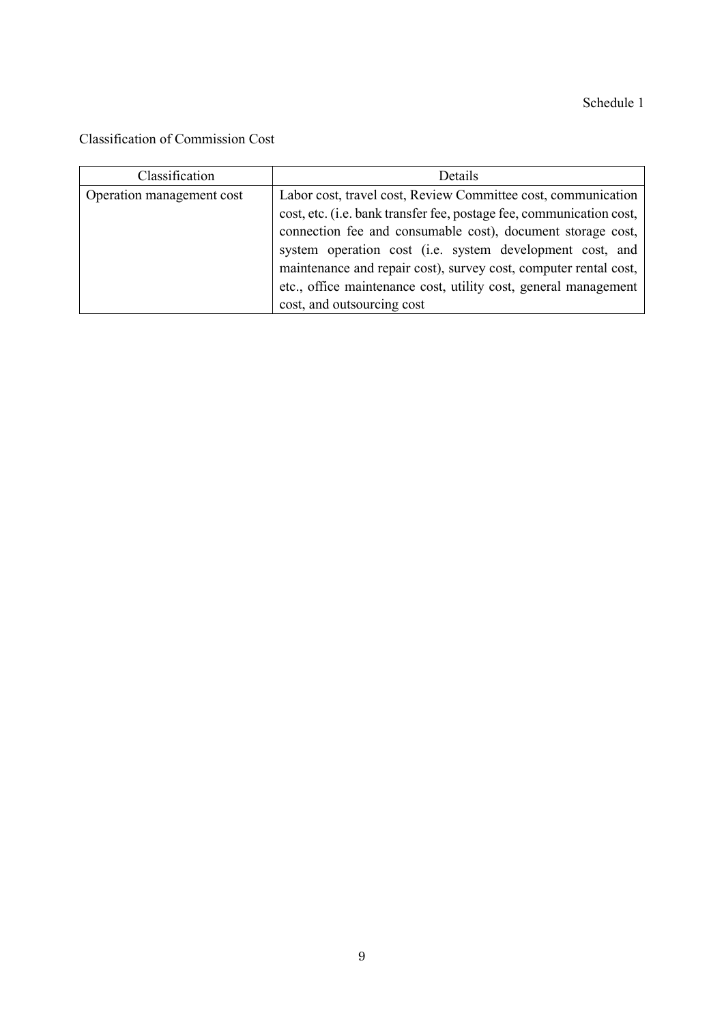Schedule 1

Classification of Commission Cost

| Classification            | Details                                                              |  |
|---------------------------|----------------------------------------------------------------------|--|
| Operation management cost | Labor cost, travel cost, Review Committee cost, communication        |  |
|                           | cost, etc. (i.e. bank transfer fee, postage fee, communication cost, |  |
|                           | connection fee and consumable cost), document storage cost,          |  |
|                           | system operation cost (i.e. system development cost, and             |  |
|                           | maintenance and repair cost), survey cost, computer rental cost,     |  |
|                           | etc., office maintenance cost, utility cost, general management      |  |
|                           | cost, and outsourcing cost                                           |  |